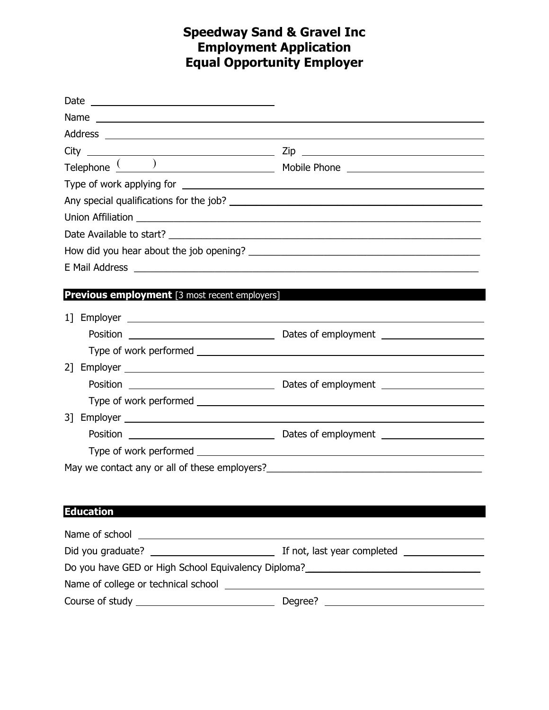# **Speedway Sand & Gravel Inc Employment Application Equal Opportunity Employer**

| Date<br><u> 1980 - Johann Stoff, deutscher Stoffen und der Stoffen und der Stoffen und der Stoffen und der Stoffen und der Stoffen und der Stoffen und der Stoffen und der Stoffen und der Stoffen und der Stoffen und der Stoffen und d</u> |                                                                                                                                                                                                                                      |
|----------------------------------------------------------------------------------------------------------------------------------------------------------------------------------------------------------------------------------------------|--------------------------------------------------------------------------------------------------------------------------------------------------------------------------------------------------------------------------------------|
| Name experience and a series of the series of the series of the series of the series of the series of the series of the series of the series of the series of the series of the series of the series of the series of the seri               |                                                                                                                                                                                                                                      |
|                                                                                                                                                                                                                                              |                                                                                                                                                                                                                                      |
|                                                                                                                                                                                                                                              |                                                                                                                                                                                                                                      |
|                                                                                                                                                                                                                                              |                                                                                                                                                                                                                                      |
|                                                                                                                                                                                                                                              |                                                                                                                                                                                                                                      |
|                                                                                                                                                                                                                                              |                                                                                                                                                                                                                                      |
|                                                                                                                                                                                                                                              | Union Affiliation <b>contract of the Contract of Contract Contract of Contract Contract Contract Contract Contract Contract Contract Contract Contract Contract Contract Contract Contract Contract Contract Contract Contract C</b> |
|                                                                                                                                                                                                                                              |                                                                                                                                                                                                                                      |
|                                                                                                                                                                                                                                              |                                                                                                                                                                                                                                      |
|                                                                                                                                                                                                                                              |                                                                                                                                                                                                                                      |
|                                                                                                                                                                                                                                              |                                                                                                                                                                                                                                      |
| Previous employment [3 most recent employers]                                                                                                                                                                                                |                                                                                                                                                                                                                                      |
|                                                                                                                                                                                                                                              |                                                                                                                                                                                                                                      |
|                                                                                                                                                                                                                                              |                                                                                                                                                                                                                                      |
|                                                                                                                                                                                                                                              | Type of work performed example and the state of work performed                                                                                                                                                                       |
| 21                                                                                                                                                                                                                                           |                                                                                                                                                                                                                                      |
|                                                                                                                                                                                                                                              |                                                                                                                                                                                                                                      |
|                                                                                                                                                                                                                                              |                                                                                                                                                                                                                                      |
|                                                                                                                                                                                                                                              |                                                                                                                                                                                                                                      |
| Position                                                                                                                                                                                                                                     |                                                                                                                                                                                                                                      |
|                                                                                                                                                                                                                                              |                                                                                                                                                                                                                                      |
|                                                                                                                                                                                                                                              | May we contact any or all of these employers?___________________________________                                                                                                                                                     |
|                                                                                                                                                                                                                                              |                                                                                                                                                                                                                                      |
|                                                                                                                                                                                                                                              |                                                                                                                                                                                                                                      |
| <b>Education</b>                                                                                                                                                                                                                             |                                                                                                                                                                                                                                      |
| Name of school entertainment and the state of school                                                                                                                                                                                         |                                                                                                                                                                                                                                      |
|                                                                                                                                                                                                                                              |                                                                                                                                                                                                                                      |
|                                                                                                                                                                                                                                              | Do you have GED or High School Equivalency Diploma?_____________________________                                                                                                                                                     |
|                                                                                                                                                                                                                                              |                                                                                                                                                                                                                                      |
|                                                                                                                                                                                                                                              |                                                                                                                                                                                                                                      |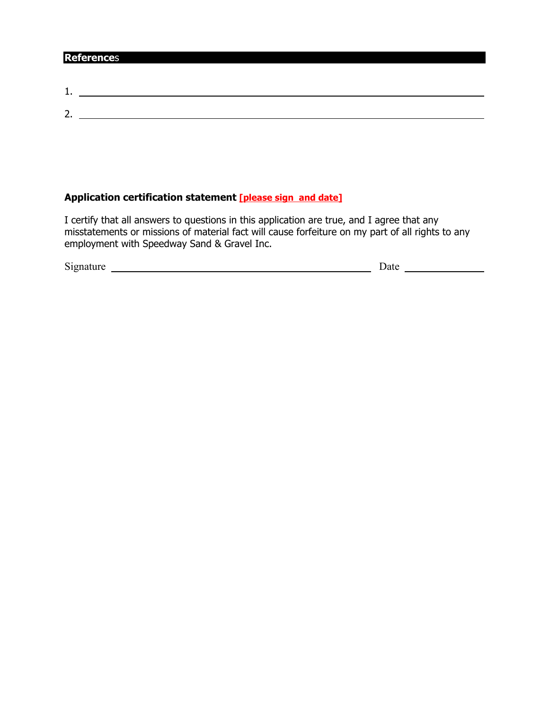### **Reference**s

| <b>.</b>      |  |
|---------------|--|
|               |  |
| ∽<br><u>.</u> |  |
|               |  |

## **Application certification statement [please sign and date]**

I certify that all answers to questions in this application are true, and I agree that any misstatements or missions of material fact will cause forfeiture on my part of all rights to any employment with Speedway Sand & Gravel Inc.

| $\sim\cdot$<br>S <sub>1</sub> gnature | Date |  |
|---------------------------------------|------|--|
|                                       |      |  |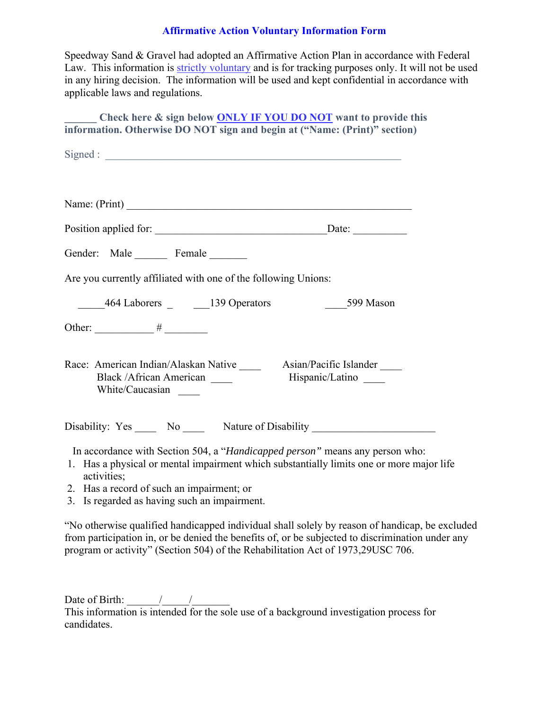#### **Affirmative Action Voluntary Information Form**

Speedway Sand & Gravel had adopted an Affirmative Action Plan in accordance with Federal Law. This information is strictly voluntary and is for tracking purposes only. It will not be used in any hiring decision. The information will be used and kept confidential in accordance with applicable laws and regulations.

Check here & sign below **ONLY IF YOU DO NOT** want to provide this **information. Otherwise DO NOT sign and begin at ("Name: (Print)" section)** 

| Name: $(Print)$                                                                                                                                                                         |  |
|-----------------------------------------------------------------------------------------------------------------------------------------------------------------------------------------|--|
|                                                                                                                                                                                         |  |
| Gender: Male Female                                                                                                                                                                     |  |
| Are you currently affiliated with one of the following Unions:                                                                                                                          |  |
| 464 Laborers 139 Operators 139 Operators 1599 Mason                                                                                                                                     |  |
|                                                                                                                                                                                         |  |
| Race: American Indian/Alaskan Native ________ Asian/Pacific Islander _____<br>Black / African American Hispanic/Latino<br>White/Caucasian                                               |  |
| Disability: Yes No Nature of Disability                                                                                                                                                 |  |
| In accordance with Section 504, a "Handicapped person" means any person who:<br>1. Has a physical or mental impairment which substantially limits one or more major life<br>activities; |  |

- 2. Has a record of such an impairment; or
- 3. Is regarded as having such an impairment.

"No otherwise qualified handicapped individual shall solely by reason of handicap, be excluded from participation in, or be denied the benefits of, or be subjected to discrimination under any program or activity" (Section 504) of the Rehabilitation Act of 1973,29USC 706.

Date of Birth:  $\frac{1}{2}$  / This information is intended for the sole use of a background investigation process for candidates.